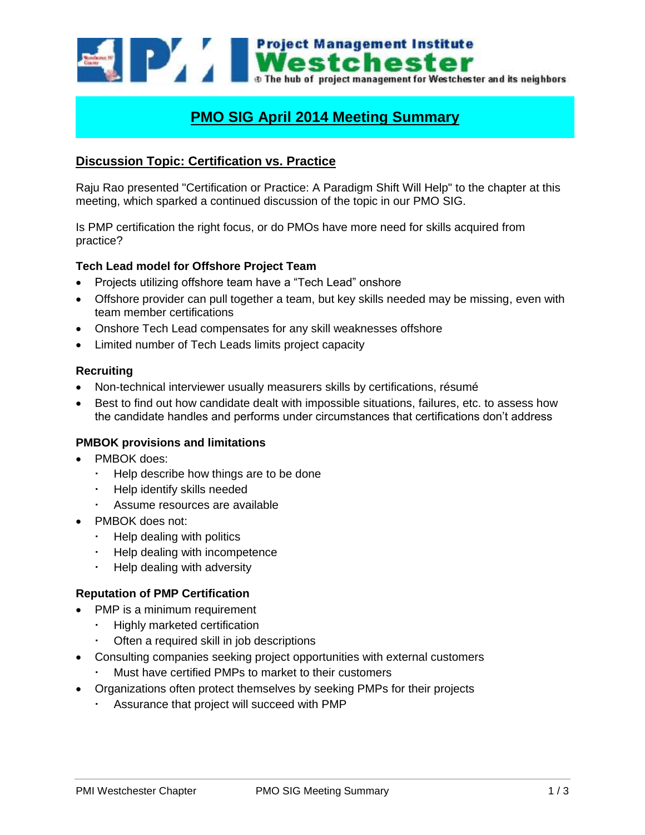

# **PMO SIG April 2014 Meeting Summary**

# **Discussion Topic: Certification vs. Practice**

Raju Rao presented "Certification or Practice: A Paradigm Shift Will Help" to the chapter at this meeting, which sparked a continued discussion of the topic in our PMO SIG.

Is PMP certification the right focus, or do PMOs have more need for skills acquired from practice?

# **Tech Lead model for Offshore Project Team**

- Projects utilizing offshore team have a "Tech Lead" onshore
- Offshore provider can pull together a team, but key skills needed may be missing, even with team member certifications
- Onshore Tech Lead compensates for any skill weaknesses offshore
- Limited number of Tech Leads limits project capacity

#### **Recruiting**

- Non-technical interviewer usually measurers skills by certifications, résumé
- Best to find out how candidate dealt with impossible situations, failures, etc. to assess how the candidate handles and performs under circumstances that certifications don't address

# **PMBOK provisions and limitations**

- PMBOK does:
	- Help describe how things are to be done
	- Help identify skills needed
	- Assume resources are available
- PMBOK does not:
	- $\cdot$  Help dealing with politics
	- Help dealing with incompetence
	- Help dealing with adversity

# **Reputation of PMP Certification**

- PMP is a minimum requirement
	- Highly marketed certification
	- Often a required skill in job descriptions
- Consulting companies seeking project opportunities with external customers
	- Must have certified PMPs to market to their customers
- Organizations often protect themselves by seeking PMPs for their projects
	- Assurance that project will succeed with PMP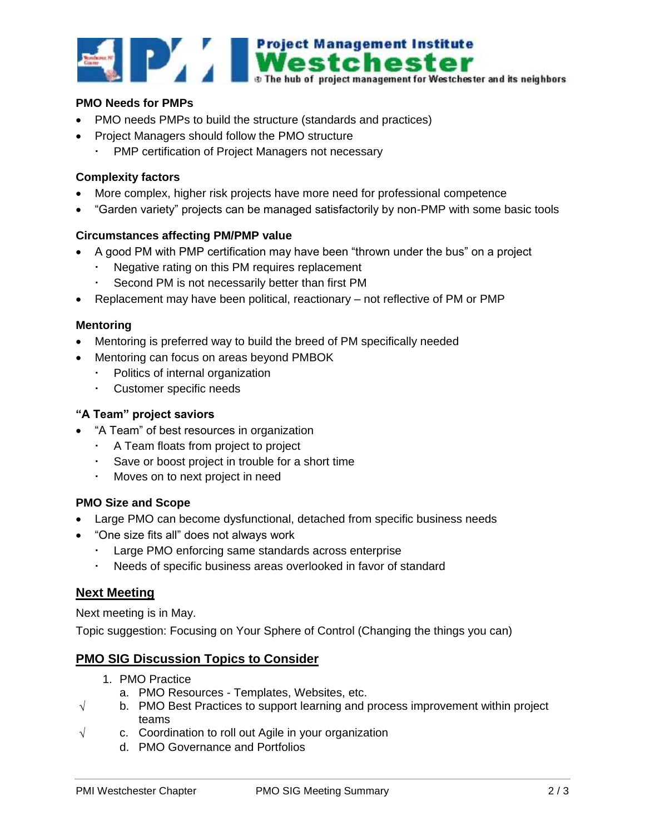

#### **PMO Needs for PMPs**

- PMO needs PMPs to build the structure (standards and practices)
- Project Managers should follow the PMO structure
	- PMP certification of Project Managers not necessary

#### **Complexity factors**

- More complex, higher risk projects have more need for professional competence
- "Garden variety" projects can be managed satisfactorily by non-PMP with some basic tools

#### **Circumstances affecting PM/PMP value**

- A good PM with PMP certification may have been "thrown under the bus" on a project
	- Negative rating on this PM requires replacement
	- Second PM is not necessarily better than first PM
- Replacement may have been political, reactionary not reflective of PM or PMP

#### **Mentoring**

- Mentoring is preferred way to build the breed of PM specifically needed
- Mentoring can focus on areas beyond PMBOK
	- Politics of internal organization
	- Customer specific needs

#### **"A Team" project saviors**

- "A Team" of best resources in organization
	- A Team floats from project to project
	- Save or boost project in trouble for a short time
	- Moves on to next project in need

# **PMO Size and Scope**

- Large PMO can become dysfunctional, detached from specific business needs
- "One size fits all" does not always work
	- Large PMO enforcing same standards across enterprise
	- Needs of specific business areas overlooked in favor of standard

#### **Next Meeting**

Next meeting is in May.

Topic suggestion: Focusing on Your Sphere of Control (Changing the things you can)

# **PMO SIG Discussion Topics to Consider**

- 1. PMO Practice
	- a. PMO Resources Templates, Websites, etc.
- $\sqrt{\phantom{a}}$  b. PMO Best Practices to support learning and process improvement within project teams
- $\sqrt{ }$  c. Coordination to roll out Agile in your organization
	- d. PMO Governance and Portfolios